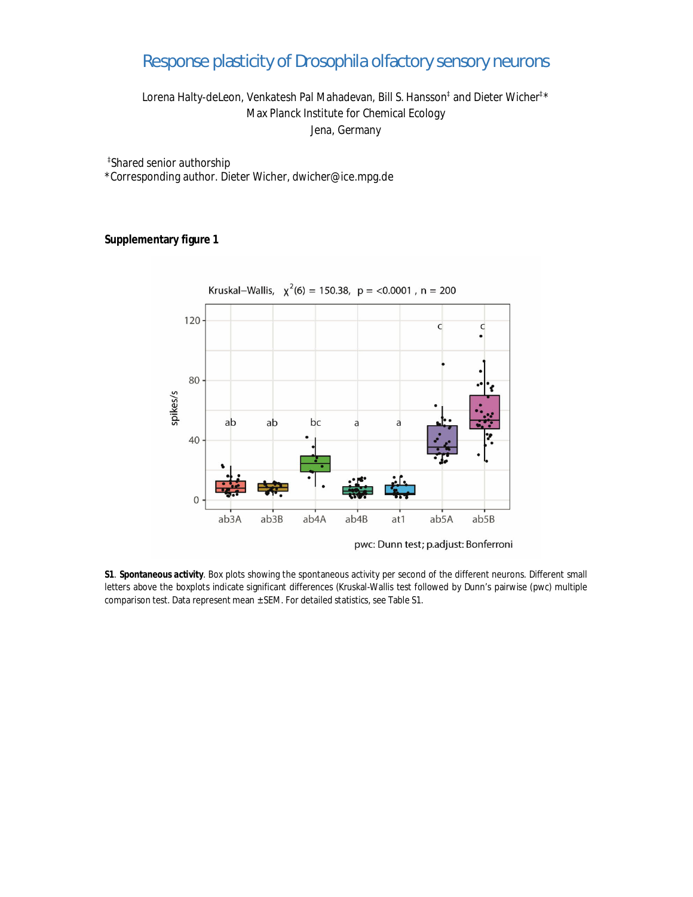## Response plasticity of *Drosophila* olfactory sensory neurons

Lorena Halty-deLeon, Venkatesh Pal Mahadevan, Bill S. Hansson‡ and Dieter Wicher‡\* Max Planck Institute for Chemical Ecology Jena, Germany

‡ Shared senior authorship

\*Corresponding author. Dieter Wicher, dwicher@ice.mpg.de

**Supplementary figure 1**



pwc: Dunn test; p.adjust: Bonferroni

**S1**. **Spontaneous activity**. Box plots showing the spontaneous activity per second of the different neurons. Different small letters above the boxplots indicate significant differences (Kruskal-Wallis test followed by Dunn's pairwise (pwc) multiple comparison test. Data represent mean ± SEM. For detailed statistics, see Table S1.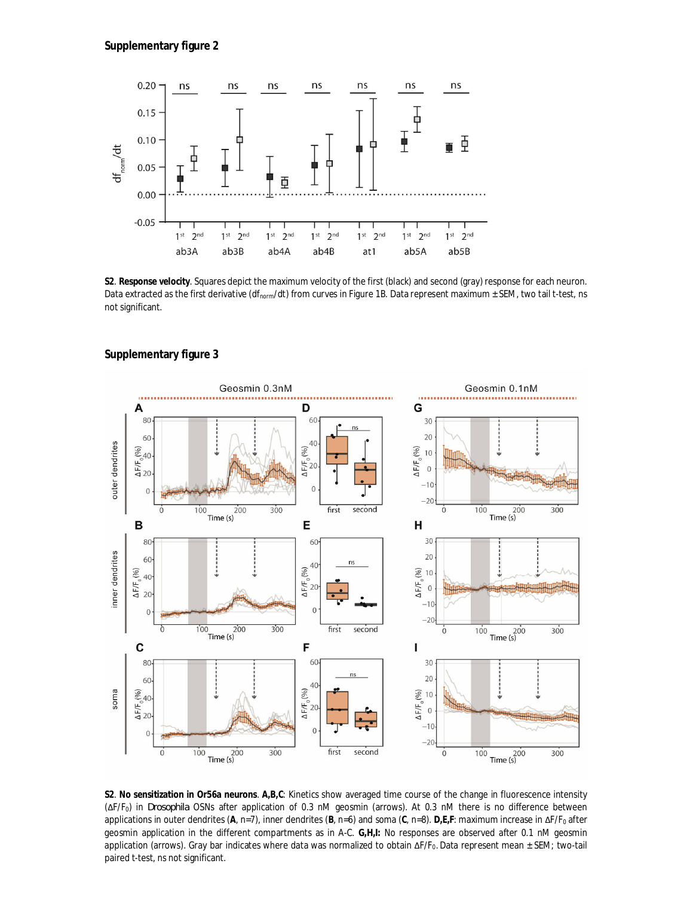

**S2**. **Response velocity**. Squares depict the maximum velocity of the first (black) and second (gray) response for each neuron. Data extracted as the first derivative (df<sub>norm</sub>/dt) from curves in Figure 1B. Data represent maximum  $\pm$  SEM, two tail t-test, ns not significant.





**S2**. **No sensitization in Or56a neurons**. **A,B,C**: Kinetics show averaged time course of the change in fluorescence intensity (ΔF/F0) in *Drosophila* OSNs after application of 0.3 nM geosmin (arrows). At 0.3 nM there is no difference between applications in outer dendrites (**A**, n=7), inner dendrites (**B**, n=6) and soma (**C**, n=8). **D,E,F**: maximum increase in ΔF/F0 after geosmin application in the different compartments as in A-C. **G,H,I:** No responses are observed after 0.1 nM geosmin application (arrows). Gray bar indicates where data was normalized to obtain ΔF/F<sub>0</sub>. Data represent mean ± SEM; two-tail paired t-test, ns not significant.